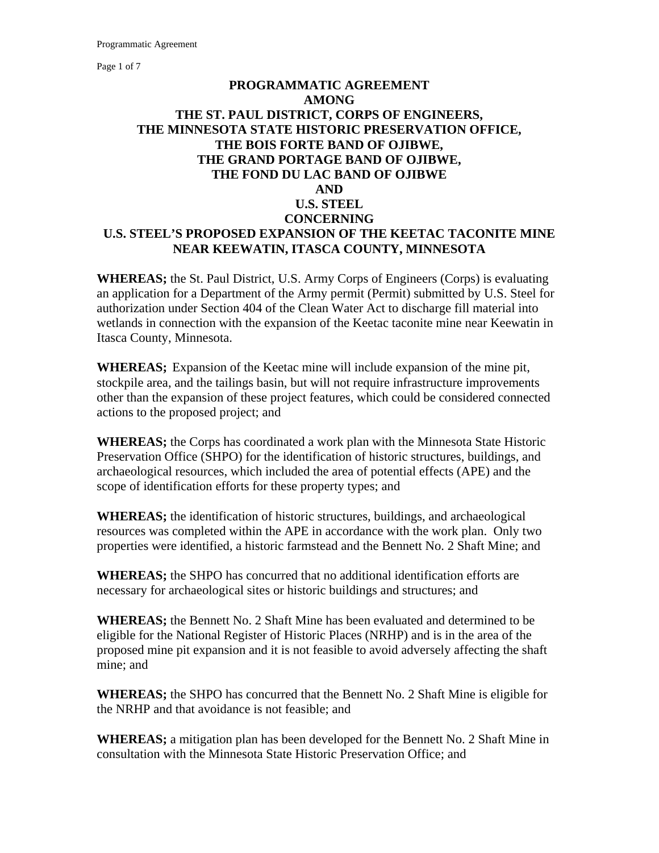Page 1 of 7

#### **PROGRAMMATIC AGREEMENT AMONG THE ST. PAUL DISTRICT, CORPS OF ENGINEERS, THE MINNESOTA STATE HISTORIC PRESERVATION OFFICE, THE BOIS FORTE BAND OF OJIBWE, THE GRAND PORTAGE BAND OF OJIBWE, THE FOND DU LAC BAND OF OJIBWE AND U.S. STEEL CONCERNING U.S. STEEL'S PROPOSED EXPANSION OF THE KEETAC TACONITE MINE NEAR KEEWATIN, ITASCA COUNTY, MINNESOTA**

**WHEREAS;** the St. Paul District, U.S. Army Corps of Engineers (Corps) is evaluating an application for a Department of the Army permit (Permit) submitted by U.S. Steel for authorization under Section 404 of the Clean Water Act to discharge fill material into wetlands in connection with the expansion of the Keetac taconite mine near Keewatin in Itasca County, Minnesota.

**WHEREAS;** Expansion of the Keetac mine will include expansion of the mine pit, stockpile area, and the tailings basin, but will not require infrastructure improvements other than the expansion of these project features, which could be considered connected actions to the proposed project; and

**WHEREAS;** the Corps has coordinated a work plan with the Minnesota State Historic Preservation Office (SHPO) for the identification of historic structures, buildings, and archaeological resources, which included the area of potential effects (APE) and the scope of identification efforts for these property types; and

**WHEREAS;** the identification of historic structures, buildings, and archaeological resources was completed within the APE in accordance with the work plan. Only two properties were identified, a historic farmstead and the Bennett No. 2 Shaft Mine; and

**WHEREAS;** the SHPO has concurred that no additional identification efforts are necessary for archaeological sites or historic buildings and structures; and

**WHEREAS;** the Bennett No. 2 Shaft Mine has been evaluated and determined to be eligible for the National Register of Historic Places (NRHP) and is in the area of the proposed mine pit expansion and it is not feasible to avoid adversely affecting the shaft mine; and

**WHEREAS;** the SHPO has concurred that the Bennett No. 2 Shaft Mine is eligible for the NRHP and that avoidance is not feasible; and

**WHEREAS;** a mitigation plan has been developed for the Bennett No. 2 Shaft Mine in consultation with the Minnesota State Historic Preservation Office; and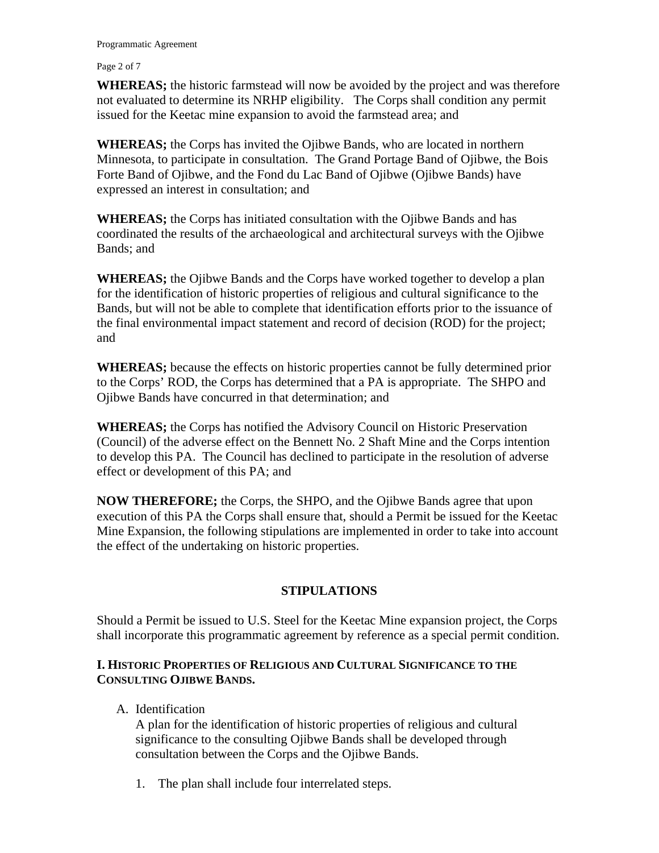Page 2 of 7

**WHEREAS;** the historic farmstead will now be avoided by the project and was therefore not evaluated to determine its NRHP eligibility. The Corps shall condition any permit issued for the Keetac mine expansion to avoid the farmstead area; and

**WHEREAS;** the Corps has invited the Ojibwe Bands, who are located in northern Minnesota, to participate in consultation. The Grand Portage Band of Ojibwe, the Bois Forte Band of Ojibwe, and the Fond du Lac Band of Ojibwe (Ojibwe Bands) have expressed an interest in consultation; and

**WHEREAS;** the Corps has initiated consultation with the Ojibwe Bands and has coordinated the results of the archaeological and architectural surveys with the Ojibwe Bands; and

**WHEREAS;** the Ojibwe Bands and the Corps have worked together to develop a plan for the identification of historic properties of religious and cultural significance to the Bands, but will not be able to complete that identification efforts prior to the issuance of the final environmental impact statement and record of decision (ROD) for the project; and

**WHEREAS;** because the effects on historic properties cannot be fully determined prior to the Corps' ROD, the Corps has determined that a PA is appropriate. The SHPO and Ojibwe Bands have concurred in that determination; and

**WHEREAS;** the Corps has notified the Advisory Council on Historic Preservation (Council) of the adverse effect on the Bennett No. 2 Shaft Mine and the Corps intention to develop this PA. The Council has declined to participate in the resolution of adverse effect or development of this PA; and

**NOW THEREFORE;** the Corps, the SHPO, and the Ojibwe Bands agree that upon execution of this PA the Corps shall ensure that, should a Permit be issued for the Keetac Mine Expansion, the following stipulations are implemented in order to take into account the effect of the undertaking on historic properties.

### **STIPULATIONS**

Should a Permit be issued to U.S. Steel for the Keetac Mine expansion project, the Corps shall incorporate this programmatic agreement by reference as a special permit condition.

#### **I. HISTORIC PROPERTIES OF RELIGIOUS AND CULTURAL SIGNIFICANCE TO THE CONSULTING OJIBWE BANDS.**

A. Identification

A plan for the identification of historic properties of religious and cultural significance to the consulting Ojibwe Bands shall be developed through consultation between the Corps and the Ojibwe Bands.

1. The plan shall include four interrelated steps.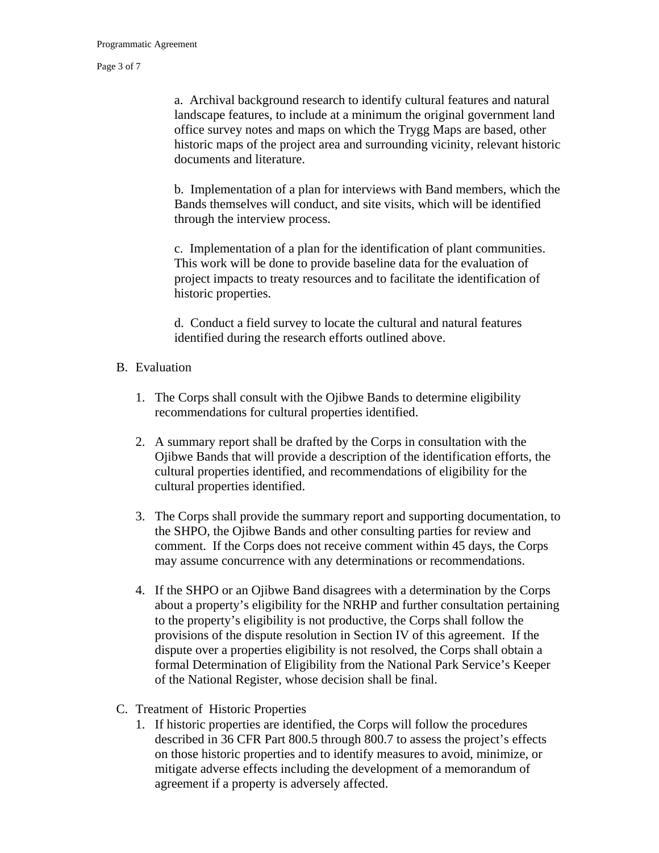Page 3 of 7

a. Archival background research to identify cultural features and natural landscape features, to include at a minimum the original government land office survey notes and maps on which the Trygg Maps are based, other historic maps of the project area and surrounding vicinity, relevant historic documents and literature.

b. Implementation of a plan for interviews with Band members, which the Bands themselves will conduct, and site visits, which will be identified through the interview process.

c. Implementation of a plan for the identification of plant communities. This work will be done to provide baseline data for the evaluation of project impacts to treaty resources and to facilitate the identification of historic properties.

d. Conduct a field survey to locate the cultural and natural features identified during the research efforts outlined above.

#### B. Evaluation

- 1. The Corps shall consult with the Ojibwe Bands to determine eligibility recommendations for cultural properties identified.
- 2. A summary report shall be drafted by the Corps in consultation with the Ojibwe Bands that will provide a description of the identification efforts, the cultural properties identified, and recommendations of eligibility for the cultural properties identified.
- 3. The Corps shall provide the summary report and supporting documentation, to the SHPO, the Ojibwe Bands and other consulting parties for review and comment. If the Corps does not receive comment within 45 days, the Corps may assume concurrence with any determinations or recommendations.
- 4. If the SHPO or an Ojibwe Band disagrees with a determination by the Corps about a property's eligibility for the NRHP and further consultation pertaining to the property's eligibility is not productive, the Corps shall follow the provisions of the dispute resolution in Section IV of this agreement. If the dispute over a properties eligibility is not resolved, the Corps shall obtain a formal Determination of Eligibility from the National Park Service's Keeper of the National Register, whose decision shall be final.
- C. Treatment of Historic Properties
	- 1. If historic properties are identified, the Corps will follow the procedures described in 36 CFR Part 800.5 through 800.7 to assess the project's effects on those historic properties and to identify measures to avoid, minimize, or mitigate adverse effects including the development of a memorandum of agreement if a property is adversely affected.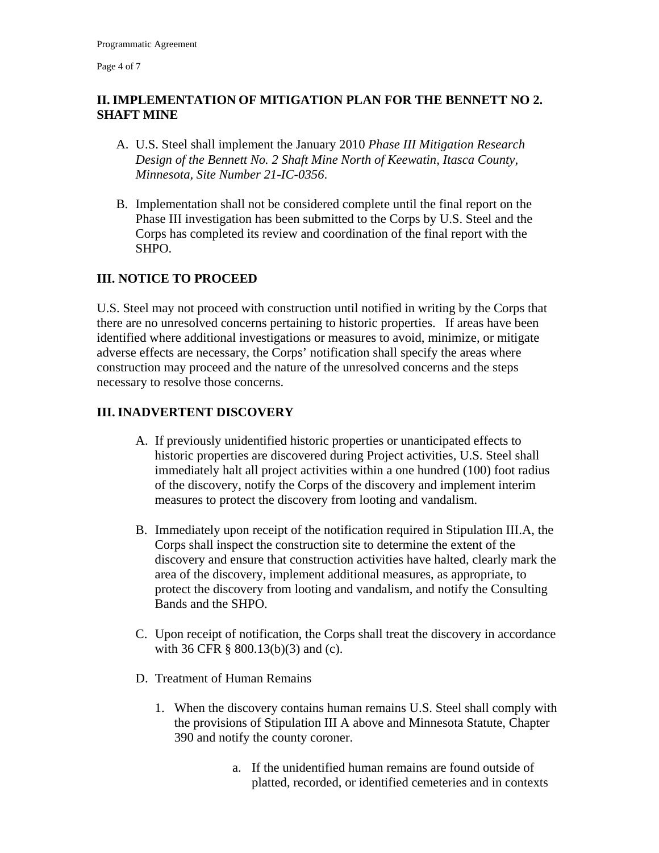Page 4 of 7

## **II. IMPLEMENTATION OF MITIGATION PLAN FOR THE BENNETT NO 2. SHAFT MINE**

- A. U.S. Steel shall implement the January 2010 *Phase III Mitigation Research Design of the Bennett No. 2 Shaft Mine North of Keewatin, Itasca County, Minnesota, Site Number 21-IC-0356*.
- B. Implementation shall not be considered complete until the final report on the Phase III investigation has been submitted to the Corps by U.S. Steel and the Corps has completed its review and coordination of the final report with the SHPO.

# **III. NOTICE TO PROCEED**

U.S. Steel may not proceed with construction until notified in writing by the Corps that there are no unresolved concerns pertaining to historic properties. If areas have been identified where additional investigations or measures to avoid, minimize, or mitigate adverse effects are necessary, the Corps' notification shall specify the areas where construction may proceed and the nature of the unresolved concerns and the steps necessary to resolve those concerns.

## **III. INADVERTENT DISCOVERY**

- A. If previously unidentified historic properties or unanticipated effects to historic properties are discovered during Project activities, U.S. Steel shall immediately halt all project activities within a one hundred (100) foot radius of the discovery, notify the Corps of the discovery and implement interim measures to protect the discovery from looting and vandalism.
- B. Immediately upon receipt of the notification required in Stipulation III.A, the Corps shall inspect the construction site to determine the extent of the discovery and ensure that construction activities have halted, clearly mark the area of the discovery, implement additional measures, as appropriate, to protect the discovery from looting and vandalism, and notify the Consulting Bands and the SHPO.
- C. Upon receipt of notification, the Corps shall treat the discovery in accordance with 36 CFR § 800.13(b)(3) and (c).
- D. Treatment of Human Remains
	- 1. When the discovery contains human remains U.S. Steel shall comply with the provisions of Stipulation III A above and Minnesota Statute, Chapter 390 and notify the county coroner.
		- a. If the unidentified human remains are found outside of platted, recorded, or identified cemeteries and in contexts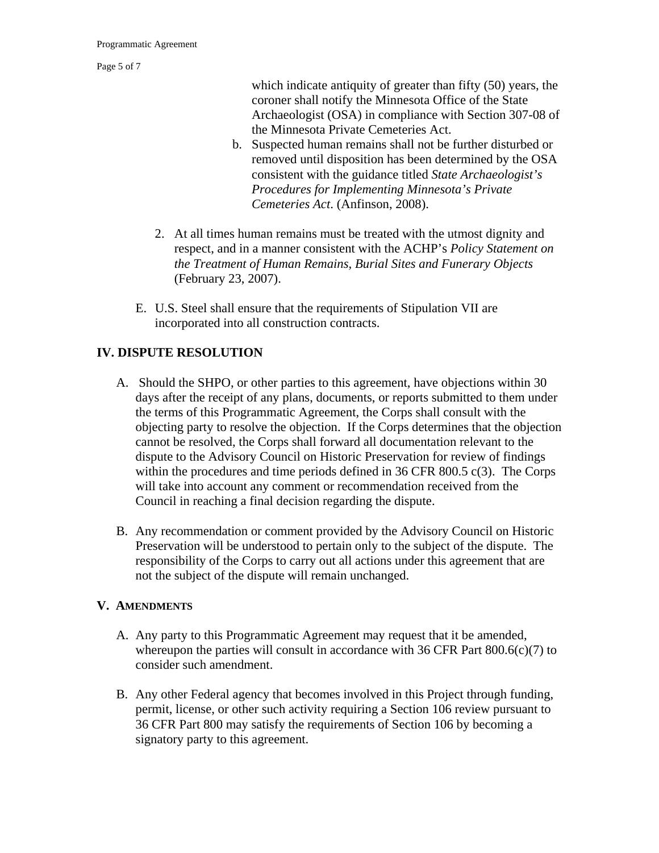Page 5 of 7

which indicate antiquity of greater than fifty (50) years, the coroner shall notify the Minnesota Office of the State Archaeologist (OSA) in compliance with Section 307-08 of the Minnesota Private Cemeteries Act.

- b. Suspected human remains shall not be further disturbed or removed until disposition has been determined by the OSA consistent with the guidance titled *State Archaeologist's Procedures for Implementing Minnesota's Private Cemeteries Act*. (Anfinson, 2008).
- 2. At all times human remains must be treated with the utmost dignity and respect, and in a manner consistent with the ACHP's *Policy Statement on the Treatment of Human Remains, Burial Sites and Funerary Objects* (February 23, 2007).
- E. U.S. Steel shall ensure that the requirements of Stipulation VII are incorporated into all construction contracts.

# **IV. DISPUTE RESOLUTION**

- A. Should the SHPO, or other parties to this agreement, have objections within 30 days after the receipt of any plans, documents, or reports submitted to them under the terms of this Programmatic Agreement, the Corps shall consult with the objecting party to resolve the objection. If the Corps determines that the objection cannot be resolved, the Corps shall forward all documentation relevant to the dispute to the Advisory Council on Historic Preservation for review of findings within the procedures and time periods defined in 36 CFR 800.5 c(3). The Corps will take into account any comment or recommendation received from the Council in reaching a final decision regarding the dispute.
- B. Any recommendation or comment provided by the Advisory Council on Historic Preservation will be understood to pertain only to the subject of the dispute. The responsibility of the Corps to carry out all actions under this agreement that are not the subject of the dispute will remain unchanged.

#### **V. AMENDMENTS**

- A. Any party to this Programmatic Agreement may request that it be amended, whereupon the parties will consult in accordance with 36 CFR Part 800.6(c)(7) to consider such amendment.
- B. Any other Federal agency that becomes involved in this Project through funding, permit, license, or other such activity requiring a Section 106 review pursuant to 36 CFR Part 800 may satisfy the requirements of Section 106 by becoming a signatory party to this agreement.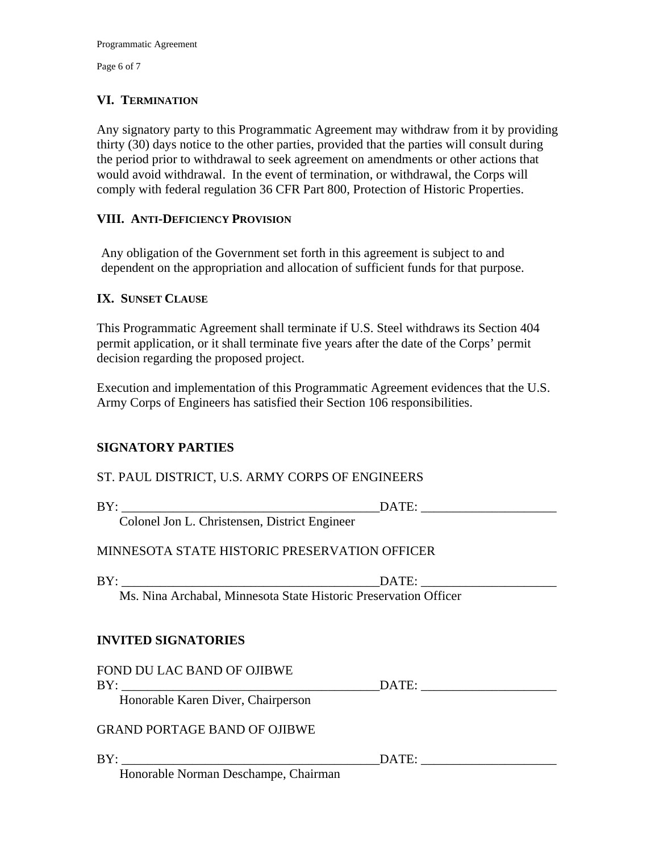Page 6 of 7

### **VI. TERMINATION**

Any signatory party to this Programmatic Agreement may withdraw from it by providing thirty (30) days notice to the other parties, provided that the parties will consult during the period prior to withdrawal to seek agreement on amendments or other actions that would avoid withdrawal. In the event of termination, or withdrawal, the Corps will comply with federal regulation 36 CFR Part 800, Protection of Historic Properties.

### **VIII. ANTI-DEFICIENCY PROVISION**

Any obligation of the Government set forth in this agreement is subject to and dependent on the appropriation and allocation of sufficient funds for that purpose.

#### **IX. SUNSET CLAUSE**

This Programmatic Agreement shall terminate if U.S. Steel withdraws its Section 404 permit application, or it shall terminate five years after the date of the Corps' permit decision regarding the proposed project.

Execution and implementation of this Programmatic Agreement evidences that the U.S. Army Corps of Engineers has satisfied their Section 106 responsibilities.

### **SIGNATORY PARTIES**

### ST. PAUL DISTRICT, U.S. ARMY CORPS OF ENGINEERS

| D <sup>T</sup><br>в |  |                                                                   |           | --- |  |
|---------------------|--|-------------------------------------------------------------------|-----------|-----|--|
| $\sim$              |  | $\blacksquare$<br>the contract of the contract of the contract of | --<br>___ |     |  |

Colonel Jon L. Christensen, District Engineer

# MINNESOTA STATE HISTORIC PRESERVATION OFFICER

BY: DATE:

Ms. Nina Archabal, Minnesota State Historic Preservation Officer

### **INVITED SIGNATORIES**

FOND DU LAC BAND OF OJIBWE BY: \_\_\_\_\_\_\_\_\_\_\_\_\_\_\_\_\_\_\_\_\_\_\_\_\_\_\_\_\_\_\_\_\_\_\_\_\_\_\_\_DATE: \_\_\_\_\_\_\_\_\_\_\_\_\_\_\_\_\_\_\_\_\_ Honorable Karen Diver, Chairperson

GRAND PORTAGE BAND OF OJIBWE

BY: \_\_\_\_\_\_\_\_\_\_\_\_\_\_\_\_\_\_\_\_\_\_\_\_\_\_\_\_\_\_\_\_\_\_\_\_\_\_\_\_DATE: \_\_\_\_\_\_\_\_\_\_\_\_\_\_\_\_\_\_\_\_\_

Honorable Norman Deschampe, Chairman